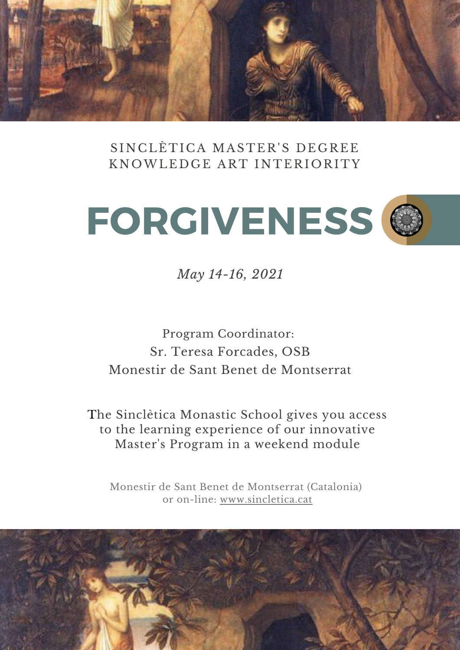

SINCLÈTICA MASTER'S DEGREE KNOWLEDGE ART INTERIORITY



*May 14-16, 2021*

Program Coordinator: Sr. Teresa Forcades, OSB Monestir de Sant Benet de Montserrat

The Sinclètica Monastic School gives you access to the learning experience of our innovative Master's Program in a weekend module

Monestir de Sant Benet de Montserrat (Catalonia) or on-lin[e:](https://www.sincletica.cat/) [www.sincletica.cat](https://www.sincletica.cat/)

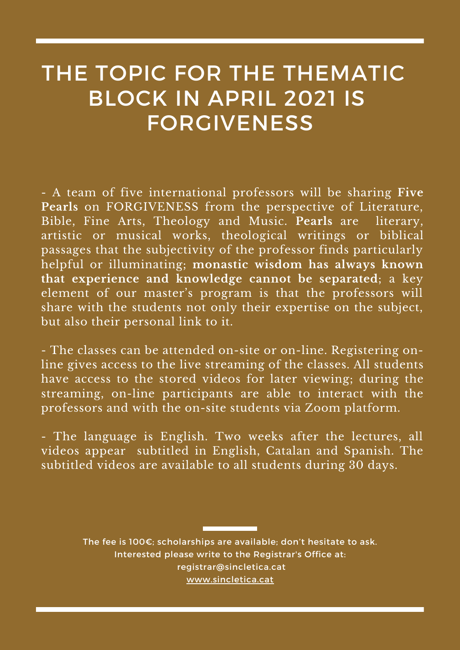# THE TOPIC FOR THE THEMATIC BLOCK IN APRIL 2021 IS FORGIVENESS

- A team of five international professors will be sharing **Five Pearls** on FORGIVENESS from the perspective of Literature, Bible, Fine Arts, Theology and Music. **Pearls** are literary, artistic or musical works, theological writings or biblical passages that the subjectivity of the professor finds particularly helpful or illuminating; **monastic wisdom has always known that experience and knowledge cannot be separated**; a key element of our master's program is that the professors will share with the students not only their expertise on the subject, but also their personal link to it.

- The classes can be attended on-site or on-line. Registering online gives access to the live streaming of the classes. All students have access to the stored videos for later viewing; during the streaming, on-line participants are able to interact with the professors and with the on-site students via Zoom platform.

- The language is English. Two weeks after the lectures, all videos appear subtitled in English, Catalan and Spanish. The subtitled videos are available to all students during 30 days.

> The fee is 100€; scholarships are available; don't hesitate to ask. Interested please write to the Registrar's Office at: [registrar@sincletica.cat](http://sincletica.cat/) [www.sincletica.cat](https://www.sincletica.cat/)